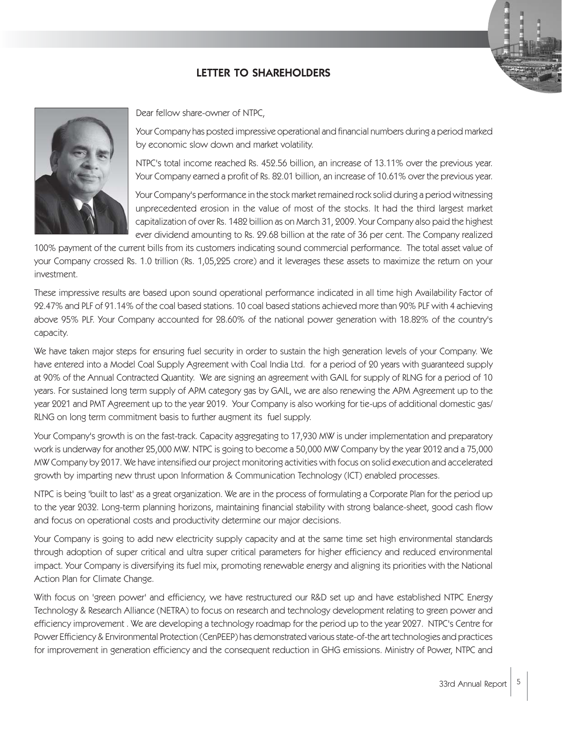## LETTER TO SHAREHOLDERS



Dear fellow share-owner of NTPC,

Your Company has posted impressive operational and financial numbers during a period marked by economic slow down and market volatility.

NTPC's total income reached Rs. 452.56 billion, an increase of 13.11% over the previous year. Your Company earned a profit of Rs. 82.01 billion, an increase of 10.61% over the previous year.

Your Company's performance in the stock market remained rock solid during a period witnessing unprecedented erosion in the value of most of the stocks. It had the third largest market capitalization of over Rs. 1482 billion as on March 31, 2009. Your Company also paid the highest ever dividend amounting to Rs. 29.68 billion at the rate of 36 per cent. The Company realized

100% payment of the current bills from its customers indicating sound commercial performance. The total asset value of your Company crossed Rs. 1.0 trillion (Rs. 1,05,225 crore) and it leverages these assets to maximize the return on your investment.

These impressive results are based upon sound operational performance indicated in all time high Availability Factor of 92.47% and PLF of 91.14% of the coal based stations. 10 coal based stations achieved more than 90% PLF with 4 achieving above 95% PLF. Your Company accounted for 28.60% of the national power generation with 18.82% of the country's capacity.

We have taken major steps for ensuring fuel security in order to sustain the high generation levels of your Company. We have entered into a Model Coal Supply Agreement with Coal India Ltd. for a period of 20 years with guaranteed supply at 90% of the Annual Contracted Quantity. We are signing an agreement with GAIL for supply of RLNG for a period of 10 years. For sustained long term supply of APM category gas by GAIL, we are also renewing the APM Agreement up to the year 2021 and PMT Agreement up to the year 2019. Your Company is also working for tie-ups of additional domestic gas/ RLNG on long term commitment basis to further augment its fuel supply.

Your Company's growth is on the fast-track. Capacity aggregating to 17,930 MW is under implementation and preparatory work is underway for another 25,000 MW. NTPC is going to become a 50,000 MW Company by the year 2012 and a 75,000 MW Company by 2017. We have intensified our project monitoring activities with focus on solid execution and accelerated growth by imparting new thrust upon Information & Communication Technology (ICT) enabled processes.

NTPC is being 'built to last' as a great organization. We are in the process of formulating a Corporate Plan for the period up to the year 2032. Long-term planning horizons, maintaining financial stability with strong balance-sheet, good cash flow and focus on operational costs and productivity determine our major decisions.

Your Company is going to add new electricity supply capacity and at the same time set high environmental standards through adoption of super critical and ultra super critical parameters for higher efficiency and reduced environmental impact. Your Company is diversifying its fuel mix, promoting renewable energy and aligning its priorities with the National Action Plan for Climate Change.

With focus on 'green power' and efficiency, we have restructured our R&D set up and have established NTPC Energy Technology & Research Alliance (NETRA) to focus on research and technology development relating to green power and efficiency improvement . We are developing a technology roadmap for the period up to the year 2027. NTPC's Centre for Power Efficiency & Environmental Protection (CenPEEP) has demonstrated various state-of-the art technologies and practices for improvement in generation efficiency and the consequent reduction in GHG emissions. Ministry of Power, NTPC and